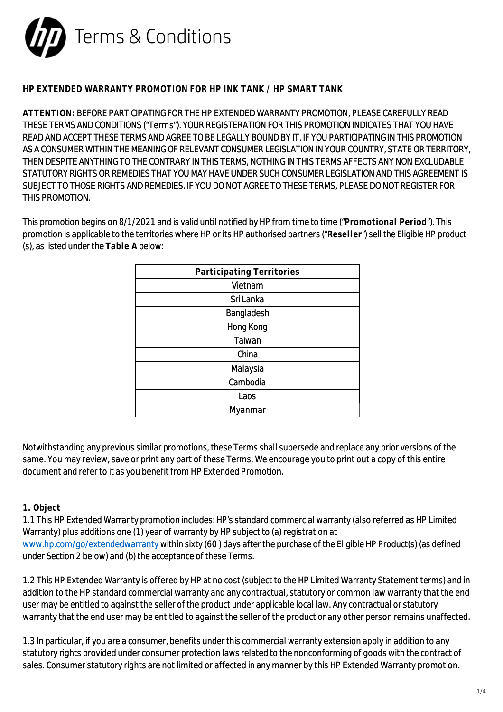

### **HP EXTENDED WARRANTY PROMOTION FOR HP INK TANK / HP SMART TANK**

**ATTENTION:** BEFORE PARTICIPATING FOR THE HP EXTENDED WARRANTY PROMOTION, PLEASE CAREFULLY READ THESE TERMS AND CONDITIONS ("Terms"). YOUR REGISTERATION FOR THIS PROMOTION INDICATES THAT YOU HAVE READ AND ACCEPT THESE TERMS AND AGREE TO BE LEGALLY BOUND BY IT. IF YOU PARTICIPATING IN THIS PROMOTION AS A CONSUMER WITHIN THE MEANING OF RELEVANT CONSUMER LEGISLATION IN YOUR COUNTRY, STATE OR TERRITORY, THEN DESPITE ANYTHING TO THE CONTRARY IN THIS TERMS, NOTHING IN THIS TERMS AFFECTS ANY NON EXCLUDABLE STATUTORY RIGHTS OR REMEDIES THAT YOU MAY HAVE UNDER SUCH CONSUMER LEGISLATION AND THIS AGREEMENT IS SUBJECT TO THOSE RIGHTS AND REMEDIES. IF YOU DO NOT AGREE TO THESE TERMS, PLEASE DO NOT REGISTER FOR THIS PROMOTION.

This promotion begins on 8/1/2021 and is valid until notified by HP from time to time ("**Promotional Period**"). This promotion is applicable to the territories where HP or its HP authorised partners ("**Reseller**") sell the Eligible HP product (s), as listed under the **Table A** below:

| Participating Territories |
|---------------------------|
| Vietnam                   |
| Sri Lanka                 |
| Bangladesh                |
| Hong Kong                 |
| Taiwan                    |
| China                     |
| Malaysia                  |
| Cambodia                  |
| Laos                      |
| Myanmar                   |
|                           |

Notwithstanding any previous similar promotions, these Terms shall supersede and replace any prior versions of the same. You may review, save or print any part of these Terms. We encourage you to print out a copy of this entire document and refer to it as you benefit from HP Extended Promotion.

#### **1. Object**

1.1 This HP Extended Warranty promotion includes: HP's standard commercial warranty (also referred as HP Limited Warranty) plus additions one (1) year of warranty by HP subject to (a) registration at [www.hp.com/go/extendedwarranty](https://www.hp.com/go/extendedwarranty) within sixty (60 ) days after the purchase of the Eligible HP Product(s) (as defined under Section 2 below) and (b) the acceptance of these Terms.

1.2 This HP Extended Warranty is offered by HP at no cost (subject to the HP Limited Warranty Statement terms) and in addition to the HP standard commercial warranty and any contractual, statutory or common law warranty that the end user may be entitled to against the seller of the product under applicable local law. Any contractual or statutory warranty that the end user may be entitled to against the seller of the product or any other person remains unaffected.

1.3 In particular, if you are a consumer, benefits under this commercial warranty extension apply in addition to any statutory rights provided under consumer protection laws related to the nonconforming of goods with the contract of sales. Consumer statutory rights are not limited or affected in any manner by this HP Extended Warranty promotion.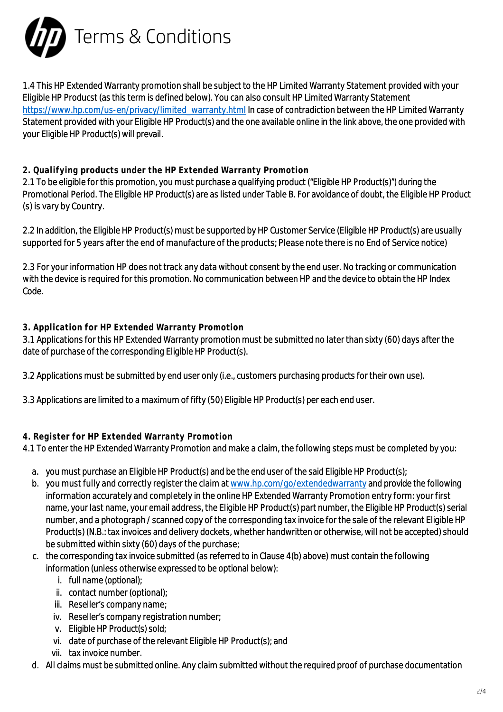

1.4 This HP Extended Warranty promotion shall be subject to the HP Limited Warranty Statement provided with your Eligible HP Producst (as this term is defined below). You can also consult HP Limited Warranty Statement [https://www.hp.com/us-en/privacy/limited\\_warranty.html](https://www.hp.com/us-en/privacy/limited_warranty.html) In case of contradiction between the HP Limited Warranty Statement provided with your Eligible HP Product(s) and the one available online in the link above, the one provided with your Eligible HP Product(s) will prevail.

# **2. Qualifying products under the HP Extended Warranty Promotion**

2.1 To be eligible for this promotion, you must purchase a qualifying product ("Eligible HP Product(s)") during the Promotional Period. The Eligible HP Product(s) are as listed under Table B. For avoidance of doubt, the Eligible HP Product (s) is vary by Country.

2.2 In addition, the Eligible HP Product(s) must be supported by HP Customer Service (Eligible HP Product(s) are usually supported for 5 years after the end of manufacture of the products; Please note there is no End of Service notice)

2.3 For your information HP does not track any data without consent by the end user. No tracking or communication with the device is required for this promotion. No communication between HP and the device to obtain the HP Index Code.

## **3. Application for HP Extended Warranty Promotion**

3.1 Applications for this HP Extended Warranty promotion must be submitted no later than sixty (60) days after the date of purchase of the corresponding Eligible HP Product(s).

3.2 Applications must be submitted by end user only (i.e., customers purchasing products for their own use).

3.3 Applications are limited to a maximum of fifty (50) Eligible HP Product(s) per each end user.

## **4. Register for HP Extended Warranty Promotion**

4.1 To enter the HP Extended Warranty Promotion and make a claim, the following steps must be completed by you:

- a. you must purchase an Eligible HP Product(s) and be the end user of the said Eligible HP Product(s);
- b. you must fully and correctly register the claim at [www.hp.com/go/extendedwarranty](https://www.hp.com/go/extendedwarranty) and provide the following information accurately and completely in the online HP Extended Warranty Promotion entry form: your first name, your last name, your email address, the Eligible HP Product(s) part number, the Eligible HP Product(s) serial number, and a photograph / scanned copy of the corresponding tax invoice for the sale of the relevant Eligible HP Product(s) (N.B.: tax invoices and delivery dockets, whether handwritten or otherwise, will not be accepted) should be submitted within sixty (60) days of the purchase;
- c. the corresponding tax invoice submitted (as referred to in Clause 4(b) above) must contain the following information (unless otherwise expressed to be optional below):
	- i. full name (optional);
	- ii. contact number (optional);
	- iii. Reseller's company name;
	- iv. Reseller's company registration number;
	- v. Eligible HP Product(s) sold;
	- vi. date of purchase of the relevant Eligible HP Product(s); and
	- vii. tax invoice number.
- d. All claims must be submitted online. Any claim submitted without the required proof of purchase documentation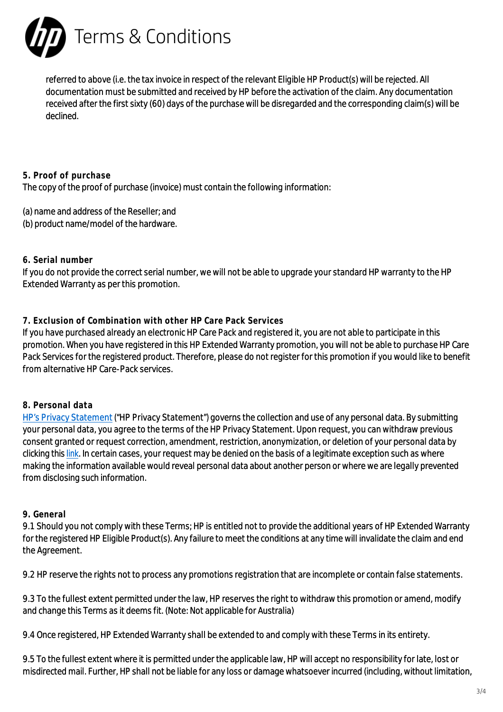

referred to above (i.e. the tax invoice in respect of the relevant Eligible HP Product(s) will be rejected. All documentation must be submitted and received by HP before the activation of the claim. Any documentation received after the first sixty (60) days of the purchase will be disregarded and the corresponding claim(s) will be declined.

**5. Proof of purchase**

The copy of the proof of purchase (invoice) must contain the following information:

(a) name and address of the Reseller; and

(b) product name/model of the hardware.

### **6. Serial number**

If you do not provide the correct serial number, we will not be able to upgrade your standard HP warranty to the HP Extended Warranty as per this promotion.

## **7. Exclusion of Combination with other HP Care Pack Services**

If you have purchased already an electronic HP Care Pack and registered it, you are not able to participate in this promotion. When you have registered in this HP Extended Warranty promotion, you will not be able to purchase HP Care Pack Services for the registered product. Therefore, please do not register for this promotion if you would like to benefit from alternative HP Care-Pack services.

#### **8. Personal data**

[HP's Privacy Statement](https://www.hp.com/us-en/privacy/privacy.html?jumpid=in_R11928_/us/en/corp/privacy-central/privacy-statements?jumpid=in_R11928_/us/en/corp/privacy-central/privacy-statements) ("HP Privacy Statement") governs the collection and use of any personal data. By submitting your personal data, you agree to the terms of the HP Privacy Statement. Upon request, you can withdraw previous consent granted or request correction, amendment, restriction, anonymization, or deletion of your personal data by clicking this [link.](https://www.hp.com/us-en/privacy/privacy.html?jumpid=in_R11928_/us/en/corp/privacy-central/privacy-statements?jumpid=in_R11928_/us/en/corp/privacy-central/privacy-statements) In certain cases, your request may be denied on the basis of a legitimate exception such as where making the information available would reveal personal data about another person or where we are legally prevented from disclosing such information.

#### **9. General**

9.1 Should you not comply with these Terms; HP is entitled not to provide the additional years of HP Extended Warranty for the registered HP Eligible Product(s). Any failure to meet the conditions at any time will invalidate the claim and end the Agreement.

9.2 HP reserve the rights not to process any promotions registration that are incomplete or contain false statements.

9.3 To the fullest extent permitted under the law, HP reserves the right to withdraw this promotion or amend, modify and change this Terms as it deems fit. (Note: Not applicable for Australia)

9.4 Once registered, HP Extended Warranty shall be extended to and comply with these Terms in its entirety.

9.5 To the fullest extent where it is permitted under the applicable law, HP will accept no responsibility for late, lost or misdirected mail. Further, HP shall not be liable for any loss or damage whatsoever incurred (including, without limitation,